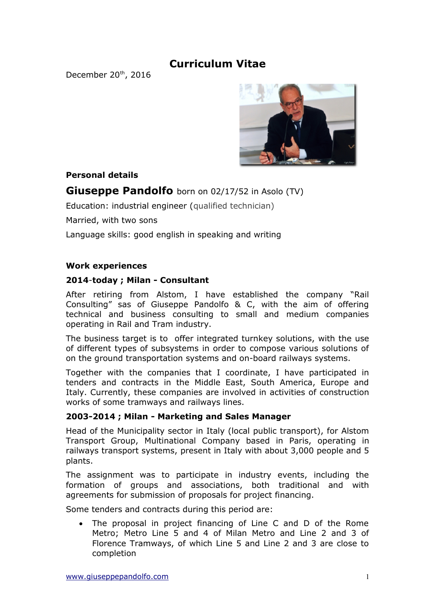# **Curriculum Vitae**

December 20<sup>th</sup>, 2016



## **Personal details**

# **Giuseppe Pandolfo** born on 02/17/52 in Asolo (TV)

Education: industrial engineer (qualified technician)

Married, with two sons

Language skills: good english in speaking and writing

#### **Work experiences**

#### **2014**-**today ; Milan - Consultant**

After retiring from Alstom, I have established the company "Rail Consulting" sas of Giuseppe Pandolfo & C, with the aim of offering technical and business consulting to small and medium companies operating in Rail and Tram industry.

The business target is to offer integrated turnkey solutions, with the use of different types of subsystems in order to compose various solutions of on the ground transportation systems and on-board railways systems.

Together with the companies that I coordinate, I have participated in tenders and contracts in the Middle East, South America, Europe and Italy. Currently, these companies are involved in activities of construction works of some tramways and railways lines.

### **2003-2014 ; Milan - Marketing and Sales Manager**

Head of the Municipality sector in Italy (local public transport), for Alstom Transport Group, Multinational Company based in Paris, operating in railways transport systems, present in Italy with about 3,000 people and 5 plants.

The assignment was to participate in industry events, including the formation of groups and associations, both traditional and with agreements for submission of proposals for project financing.

Some tenders and contracts during this period are:

 The proposal in project financing of Line C and D of the Rome Metro; Metro Line 5 and 4 of Milan Metro and Line 2 and 3 of Florence Tramways, of which Line 5 and Line 2 and 3 are close to completion